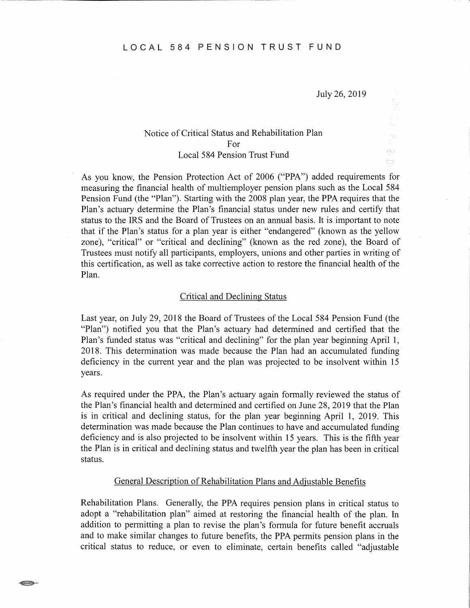July 26, 2019

 $\mathbb{Q}$  $\triangle$ CD.

# Notice of Critical Status and Rehabilitation Plan For Local 584 Pension Trust Fund

As you know, the Pension Protection Act of 2006 ("PPA") added requirements for measuring the financial health of multiemployer pension plans such as the Local 584 Pension Fund (the "Plan"). Starting with the 2008 plan year, the PPA requires that the Plan's actuary determine the Plan's financial status under new rules and certify that status to the IRS and the Board of Trustees on an annual basis. It is important to note that if the Plan's status for a plan year is either "endangered" (known as the yellow zone), "critical" or "critical and declining" (known as the red zone), the Board of Trustees must notify all participants, employers, unions and other parties in writing of this certification, as well as take corrective action to restore the financial health of the Plan.

### Critical and Declining Status

Last year, on July 29, 2018 the Board of Trustees of the Local 584 Pension Fund (the "Plan") notified you that the Plan's actuary had determined and certified that the Plan's funded status was "critical and declining" for the plan year beginning April 1, 2018. This determination was made because the Plan had an accumulated funding deficiency in the current year and the plan was projected to be insolvent within 15 years.

As required under the PPA, the Plan's actuary again formally reviewed the status of the Plan's financial health and determined and certified on June 28, 2019 that the Plan is in critical and declining status, for the plan year beginning April 1, 2019. This determination was made because the Plan continues to have and accumulated funding deficiency and is also projected to be insolvent within 15 years. This is the fifth year the Plan is in critical and declining status and twelfth year the plan has been in critical status.

## General Description of Rehabilitation Plans and Adjustable Benefits

Rehabilitation Plans. Generally, the PPA requires pension plans in critical status to adopt a "rehabilitation plan" aimed at restoring the financial health of the plan. In addition to permitting a plan to revise the plan's formula for future benefit accruals and to make similar changes to future benefits, the PPA permits pension plans in the critical status to reduce, or even to eliminate, certain benefits called "adjustable

 $GCLABT$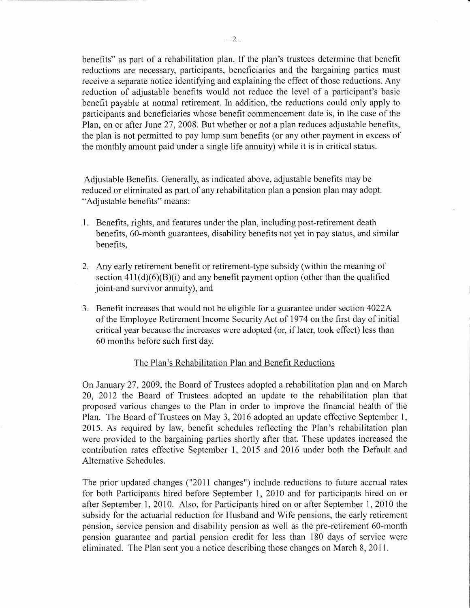benefits" as part of a rehabilitation plan. If the plan's trustees determine that benefit reductions are necessary, participants, beneficiaries and the bargaining parties must receive a separate notice identifying and explaining the effect of those reductions. Any reduction of adjustable benefits would not reduce the level of a participant's basic benefit payable at normal retirement. In addition, the reductions could only apply to participants and beneficiaries whose benefit commencement date is, in the case of the Plan, on or after June 27, 2008. But whether or not a plan reduces adjustable benefits, the plan is not permitted to pay lump sum benefits ( or any other payment in excess of the monthly amount paid under a single life annuity) while it is in critical status.

Adjustable Benefits. Generally, as indicated above, adjustable benefits may be reduced or eliminated as part of any rehabilitation plan a pension plan may adopt. "Adjustable benefits" means:

- 1. Benefits, rights, and features under the plan, including post-retirement death benefits, 60-month guarantees, disability benefits not yet in pay status, and similar benefits,
- 2. Any early retirement benefit or retirement-type subsidy (within the meaning of section  $411(d)(6)(B)(i)$  and any benefit payment option (other than the qualified joint-and survivor annuity), and
- 3. Benefit increases that would not be eligible for a guarantee under section 4022A of the Employee Retirement Income Security Act of 1974 on the first day of initial critical year because the increases were adopted ( or, if later, took effect) less than 60 months before such first day.

# The Plan's Rehabilitation Plan and Benefit Reductions

On January 27, 2009, the Board of Trustees adopted a rehabilitation plan and on March 20, 2012 the Board of Trustees adopted an update to the rehabilitation plan that proposed various changes to the Plan in order to improve the financial health of the Plan. The Board of Trustees on May 3, 2016 adopted an update effective September 1, 2015. As required by law, benefit schedules reflecting the Plan's rehabilitation plan were provided to the bargaining parties shortly after that. These updates increased the contribution rates effective September 1, 2015 and 2016 under both the Default and Alternative Schedules.

The prior updated changes ("2011 changes") include reductions to future accrual rates for both Participants hired before September 1, 2010 and for participants hired on or after September 1, 2010. Also, for Participants hired on or after September 1, 2010 the subsidy for the actuarial reduction for Husband and Wife pensions, the early retirement pension, service pension and disability pension as well as the pre-retirement 60-month pension guarantee and partial pension credit for less than 180 days of service were eliminated. The Plan sent you a notice describing those changes on March 8, 2011.